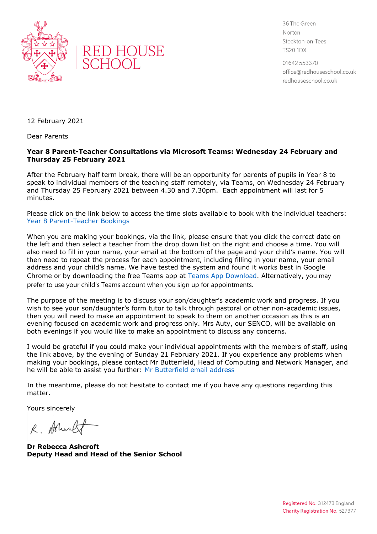



36 The Green Norton Stockton-on-Tees **TS20 1DX** 

01642 553370 office@redhouseschool.co.uk redhouseschool.co.uk

12 February 2021

Dear Parents

## **Year 8 Parent-Teacher Consultations via Microsoft Teams: Wednesday 24 February and Thursday 25 February 2021**

After the February half term break, there will be an opportunity for parents of pupils in Year 8 to speak to individual members of the teaching staff remotely, via Teams, on Wednesday 24 February and Thursday 25 February 2021 between 4.30 and 7.30pm. Each appointment will last for 5 minutes.

Please click on the link below to access the time slots available to book with the individual teachers: [Year 8 Parent-Teacher Bookings](https://outlook.office365.com/owa/calendar/RedHouseSchool@redhouseschool.co.uk/bookings/)

When you are making your bookings, via the link, please ensure that you click the correct date on the left and then select a teacher from the drop down list on the right and choose a time. You will also need to fill in your name, your email at the bottom of the page and your child's name. You will then need to repeat the process for each appointment, including filling in your name, your email address and your child's name. We have tested the system and found it works best in Google Chrome or by downloading the free Teams app at [Teams App Download.](https://www.microsoft.com/en-gb/microsoft-365/microsoft-teams/download-app) Alternatively, you may prefer to use your child's Teams account when you sign up for appointments.

The purpose of the meeting is to discuss your son/daughter's academic work and progress. If you wish to see your son/daughter's form tutor to talk through pastoral or other non-academic issues, then you will need to make an appointment to speak to them on another occasion as this is an evening focused on academic work and progress only. Mrs Auty, our SENCO, will be available on both evenings if you would like to make an appointment to discuss any concerns.

I would be grateful if you could make your individual appointments with the members of staff, using the link above, by the evening of Sunday 21 February 2021. If you experience any problems when making your bookings, please contact Mr Butterfield, Head of Computing and Network Manager, and he will be able to assist you further: [Mr Butterfield email address](file:///C:/Users/ashcroft/AppData/Local/Temp/Temp1_TEMPLATES%20AND%20LETTERS.zip/graeme.butterfield@redhouseschool.co.uk)

In the meantime, please do not hesitate to contact me if you have any questions regarding this matter.

Yours sincerely

R. Aflicalt

**Dr Rebecca Ashcroft Deputy Head and Head of the Senior School**